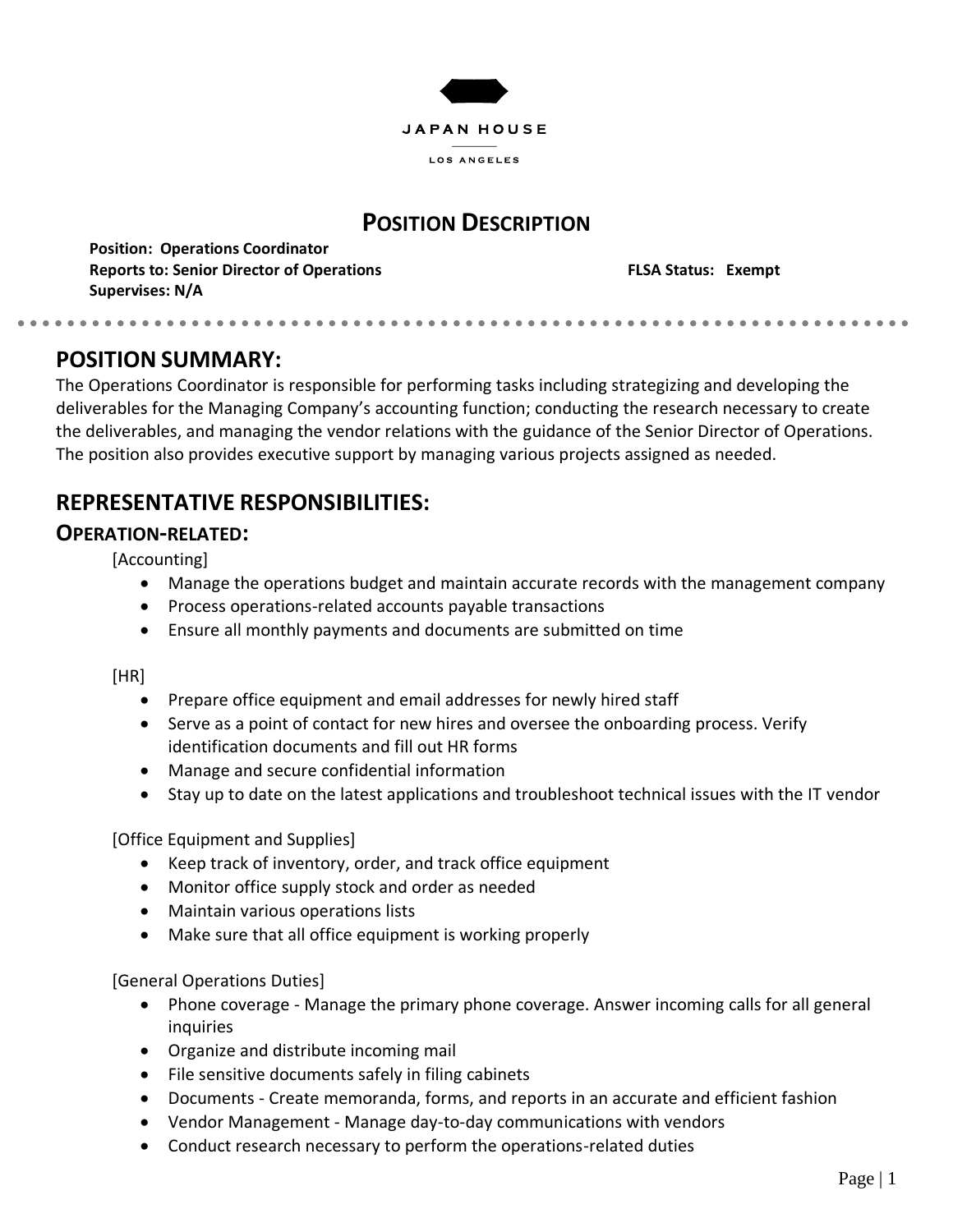

## **POSITION DESCRIPTION**

**Position: Operations Coordinator Reports to: Senior Director of Operations FLSA Status: Exempt Supervises: N/A**

### **POSITION SUMMARY:**

. . . . . . . . . . . . .

The Operations Coordinator is responsible for performing tasks including strategizing and developing the deliverables for the Managing Company's accounting function; conducting the research necessary to create the deliverables, and managing the vendor relations with the guidance of the Senior Director of Operations. The position also provides executive support by managing various projects assigned as needed.

# **REPRESENTATIVE RESPONSIBILITIES:**

### **OPERATION-RELATED:**

[Accounting]

- Manage the operations budget and maintain accurate records with the management company
- Process operations-related accounts payable transactions
- Ensure all monthly payments and documents are submitted on time

[HR]

- Prepare office equipment and email addresses for newly hired staff
- Serve as a point of contact for new hires and oversee the onboarding process. Verify identification documents and fill out HR forms
- Manage and secure confidential information
- Stay up to date on the latest applications and troubleshoot technical issues with the IT vendor

[Office Equipment and Supplies]

- Keep track of inventory, order, and track office equipment
- Monitor office supply stock and order as needed
- Maintain various operations lists
- Make sure that all office equipment is working properly

[General Operations Duties]

- Phone coverage Manage the primary phone coverage. Answer incoming calls for all general inquiries
- Organize and distribute incoming mail
- File sensitive documents safely in filing cabinets
- Documents Create memoranda, forms, and reports in an accurate and efficient fashion
- Vendor Management Manage day-to-day communications with vendors
- Conduct research necessary to perform the operations-related duties